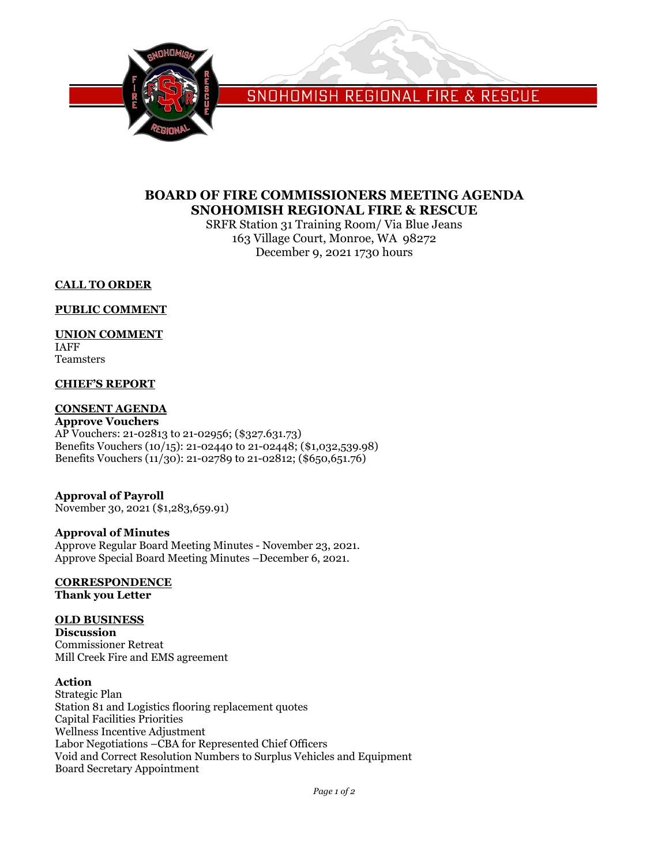

SNOHOMISH REGIONAL FIRE & RESCUE

# **BOARD OF FIRE COMMISSIONERS MEETING AGENDA SNOHOMISH REGIONAL FIRE & RESCUE**

SRFR Station 31 Training Room/ Via Blue Jeans 163 Village Court, Monroe, WA 98272 December 9, 2021 1730 hours

# **CALL TO ORDER**

# **PUBLIC COMMENT**

# **UNION COMMENT**

IAFF Teamsters

# **CHIEF'S REPORT**

# **CONSENT AGENDA**

**Approve Vouchers** AP Vouchers: 21-02813 to 21-02956; (\$327.631.73) Benefits Vouchers (10/15): 21-02440 to 21-02448; (\$1,032,539.98) Benefits Vouchers (11/30): 21-02789 to 21-02812; (\$650,651.76)

# **Approval of Payroll**

November 30, 2021 (\$1,283,659.91)

# **Approval of Minutes**

Approve Regular Board Meeting Minutes - November 23, 2021. Approve Special Board Meeting Minutes –December 6, 2021.

#### **CORRESPONDENCE Thank you Letter**

# **OLD BUSINESS**

**Discussion** Commissioner Retreat Mill Creek Fire and EMS agreement

#### **Action**

Strategic Plan Station 81 and Logistics flooring replacement quotes Capital Facilities Priorities Wellness Incentive Adjustment Labor Negotiations –CBA for Represented Chief Officers Void and Correct Resolution Numbers to Surplus Vehicles and Equipment Board Secretary Appointment